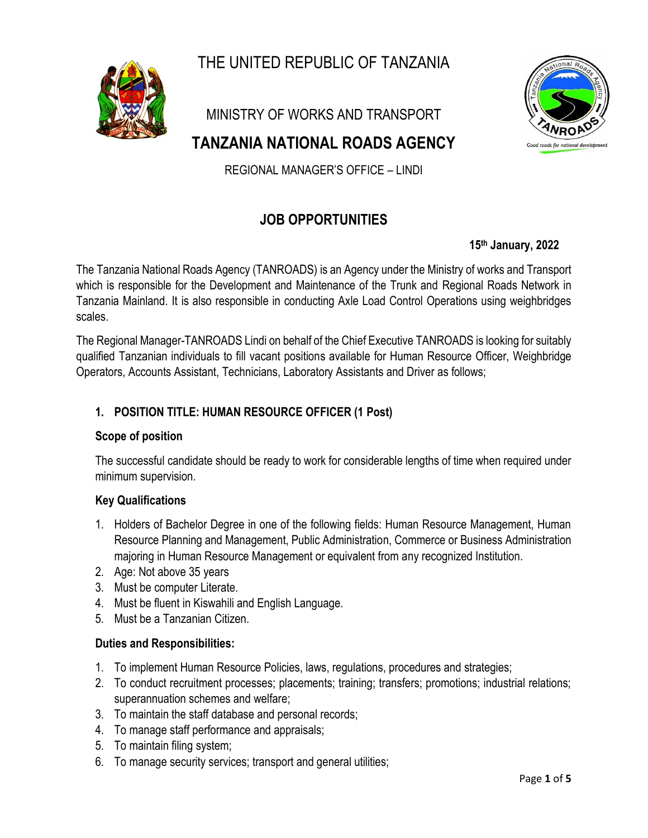THE UNITED REPUBLIC OF TANZANIA



MINISTRY OF WORKS AND TRANSPORT

# **TANZANIA NATIONAL ROADS AGENCY**



REGIONAL MANAGER'S OFFICE – LINDI

# **JOB OPPORTUNITIES**

### **15 th January, 2022**

The Tanzania National Roads Agency (TANROADS) is an Agency under the Ministry of works and Transport which is responsible for the Development and Maintenance of the Trunk and Regional Roads Network in Tanzania Mainland. It is also responsible in conducting Axle Load Control Operations using weighbridges scales.

The Regional Manager-TANROADS Lindi on behalf of the Chief Executive TANROADS is looking for suitably qualified Tanzanian individuals to fill vacant positions available for Human Resource Officer, Weighbridge Operators, Accounts Assistant, Technicians, Laboratory Assistants and Driver as follows;

### **1. POSITION TITLE: HUMAN RESOURCE OFFICER (1 Post)**

#### **Scope of position**

The successful candidate should be ready to work for considerable lengths of time when required under minimum supervision.

### **Key Qualifications**

- 1. Holders of Bachelor Degree in one of the following fields: Human Resource Management, Human Resource Planning and Management, Public Administration, Commerce or Business Administration majoring in Human Resource Management or equivalent from any recognized Institution.
- 2. Age: Not above 35 years
- 3. Must be computer Literate.
- 4. Must be fluent in Kiswahili and English Language.
- 5. Must be a Tanzanian Citizen.

### **Duties and Responsibilities:**

- 1. To implement Human Resource Policies, laws, regulations, procedures and strategies;
- 2. To conduct recruitment processes; placements; training; transfers; promotions; industrial relations; superannuation schemes and welfare;
- 3. To maintain the staff database and personal records;
- 4. To manage staff performance and appraisals;
- 5. To maintain filing system;
- 6. To manage security services; transport and general utilities;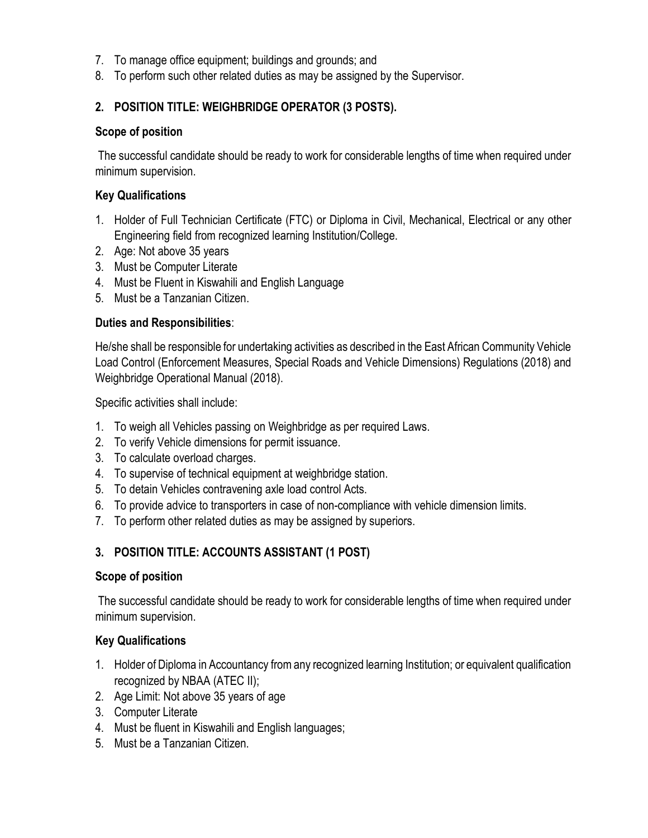- 7. To manage office equipment; buildings and grounds; and
- 8. To perform such other related duties as may be assigned by the Supervisor.

# **2. POSITION TITLE: WEIGHBRIDGE OPERATOR (3 POSTS).**

### **Scope of position**

The successful candidate should be ready to work for considerable lengths of time when required under minimum supervision.

### **Key Qualifications**

- 1. Holder of Full Technician Certificate (FTC) or Diploma in Civil, Mechanical, Electrical or any other Engineering field from recognized learning Institution/College.
- 2. Age: Not above 35 years
- 3. Must be Computer Literate
- 4. Must be Fluent in Kiswahili and English Language
- 5. Must be a Tanzanian Citizen.

### **Duties and Responsibilities**:

He/she shall be responsible for undertaking activities as described in the East African Community Vehicle Load Control (Enforcement Measures, Special Roads and Vehicle Dimensions) Regulations (2018) and Weighbridge Operational Manual (2018).

Specific activities shall include:

- 1. To weigh all Vehicles passing on Weighbridge as per required Laws.
- 2. To verify Vehicle dimensions for permit issuance.
- 3. To calculate overload charges.
- 4. To supervise of technical equipment at weighbridge station.
- 5. To detain Vehicles contravening axle load control Acts.
- 6. To provide advice to transporters in case of non-compliance with vehicle dimension limits.
- 7. To perform other related duties as may be assigned by superiors.

# **3. POSITION TITLE: ACCOUNTS ASSISTANT (1 POST)**

### **Scope of position**

The successful candidate should be ready to work for considerable lengths of time when required under minimum supervision.

# **Key Qualifications**

- 1. Holder of Diploma in Accountancy from any recognized learning Institution; or equivalent qualification recognized by NBAA (ATEC II);
- 2. Age Limit: Not above 35 years of age
- 3. Computer Literate
- 4. Must be fluent in Kiswahili and English languages;
- 5. Must be a Tanzanian Citizen.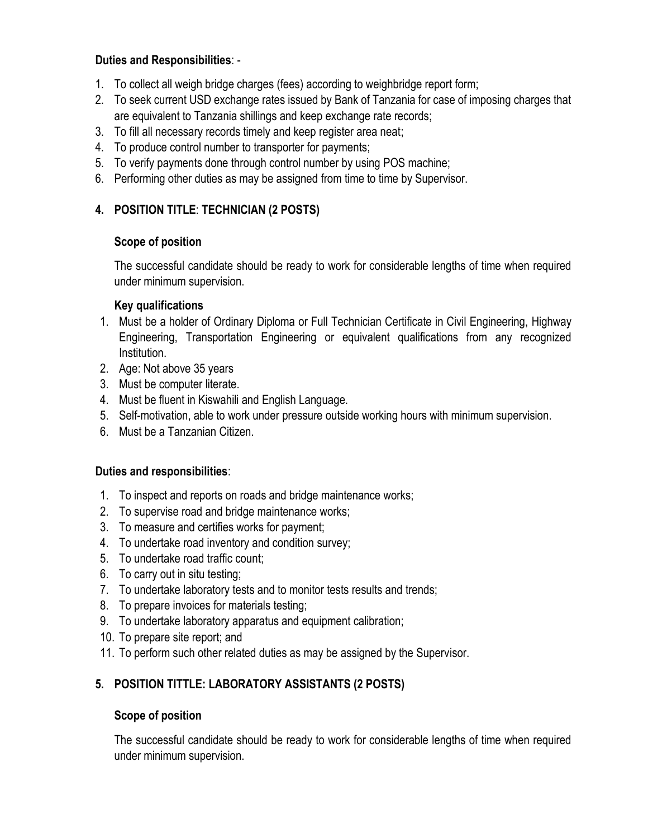### **Duties and Responsibilities**: -

- 1. To collect all weigh bridge charges (fees) according to weighbridge report form;
- 2. To seek current USD exchange rates issued by Bank of Tanzania for case of imposing charges that are equivalent to Tanzania shillings and keep exchange rate records;
- 3. To fill all necessary records timely and keep register area neat;
- 4. To produce control number to transporter for payments;
- 5. To verify payments done through control number by using POS machine;
- 6. Performing other duties as may be assigned from time to time by Supervisor.

# **4. POSITION TITLE**: **TECHNICIAN (2 POSTS)**

# **Scope of position**

The successful candidate should be ready to work for considerable lengths of time when required under minimum supervision.

### **Key qualifications**

- 1. Must be a holder of Ordinary Diploma or Full Technician Certificate in Civil Engineering, Highway Engineering, Transportation Engineering or equivalent qualifications from any recognized Institution.
- 2. Age: Not above 35 years
- 3. Must be computer literate.
- 4. Must be fluent in Kiswahili and English Language.
- 5. Self-motivation, able to work under pressure outside working hours with minimum supervision.
- 6. Must be a Tanzanian Citizen.

# **Duties and responsibilities**:

- 1. To inspect and reports on roads and bridge maintenance works;
- 2. To supervise road and bridge maintenance works;
- 3. To measure and certifies works for payment;
- 4. To undertake road inventory and condition survey;
- 5. To undertake road traffic count;
- 6. To carry out in situ testing;
- 7. To undertake laboratory tests and to monitor tests results and trends;
- 8. To prepare invoices for materials testing;
- 9. To undertake laboratory apparatus and equipment calibration;
- 10. To prepare site report; and
- 11. To perform such other related duties as may be assigned by the Supervisor.

# **5. POSITION TITTLE: LABORATORY ASSISTANTS (2 POSTS)**

# **Scope of position**

The successful candidate should be ready to work for considerable lengths of time when required under minimum supervision.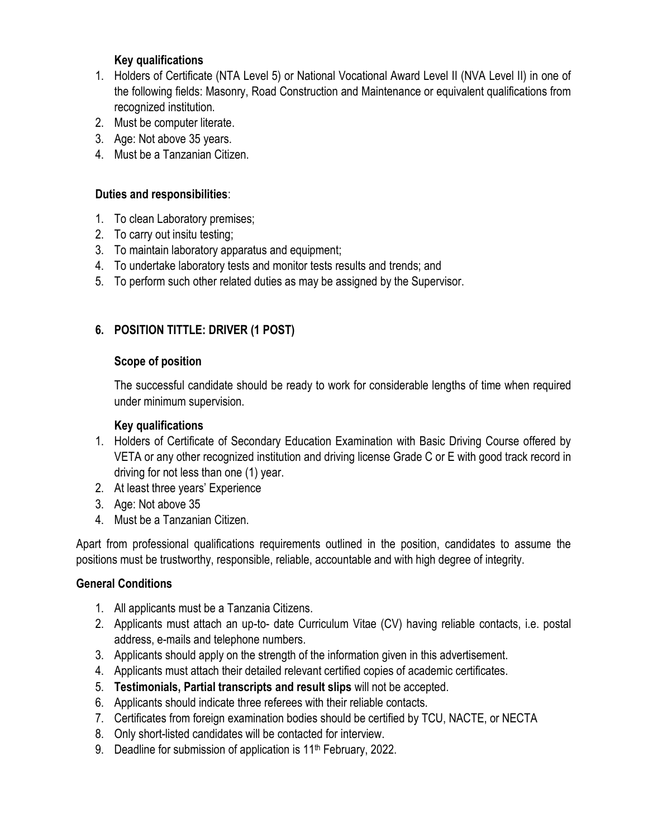### **Key qualifications**

- 1. Holders of Certificate (NTA Level 5) or National Vocational Award Level II (NVA Level II) in one of the following fields: Masonry, Road Construction and Maintenance or equivalent qualifications from recognized institution.
- 2. Must be computer literate.
- 3. Age: Not above 35 years.
- 4. Must be a Tanzanian Citizen.

### **Duties and responsibilities**:

- 1. To clean Laboratory premises;
- 2. To carry out insitu testing;
- 3. To maintain laboratory apparatus and equipment;
- 4. To undertake laboratory tests and monitor tests results and trends; and
- 5. To perform such other related duties as may be assigned by the Supervisor.

# **6. POSITION TITTLE: DRIVER (1 POST)**

### **Scope of position**

The successful candidate should be ready to work for considerable lengths of time when required under minimum supervision.

### **Key qualifications**

- 1. Holders of Certificate of Secondary Education Examination with Basic Driving Course offered by VETA or any other recognized institution and driving license Grade C or E with good track record in driving for not less than one (1) year.
- 2. At least three years' Experience
- 3. Age: Not above 35
- 4. Must be a Tanzanian Citizen.

Apart from professional qualifications requirements outlined in the position, candidates to assume the positions must be trustworthy, responsible, reliable, accountable and with high degree of integrity.

# **General Conditions**

- 1. All applicants must be a Tanzania Citizens.
- 2. Applicants must attach an up-to- date Curriculum Vitae (CV) having reliable contacts, i.e. postal address, e-mails and telephone numbers.
- 3. Applicants should apply on the strength of the information given in this advertisement.
- 4. Applicants must attach their detailed relevant certified copies of academic certificates.
- 5. **Testimonials, Partial transcripts and result slips** will not be accepted.
- 6. Applicants should indicate three referees with their reliable contacts.
- 7. Certificates from foreign examination bodies should be certified by TCU, NACTE, or NECTA
- 8. Only short-listed candidates will be contacted for interview.
- 9. Deadline for submission of application is 11<sup>th</sup> February, 2022.